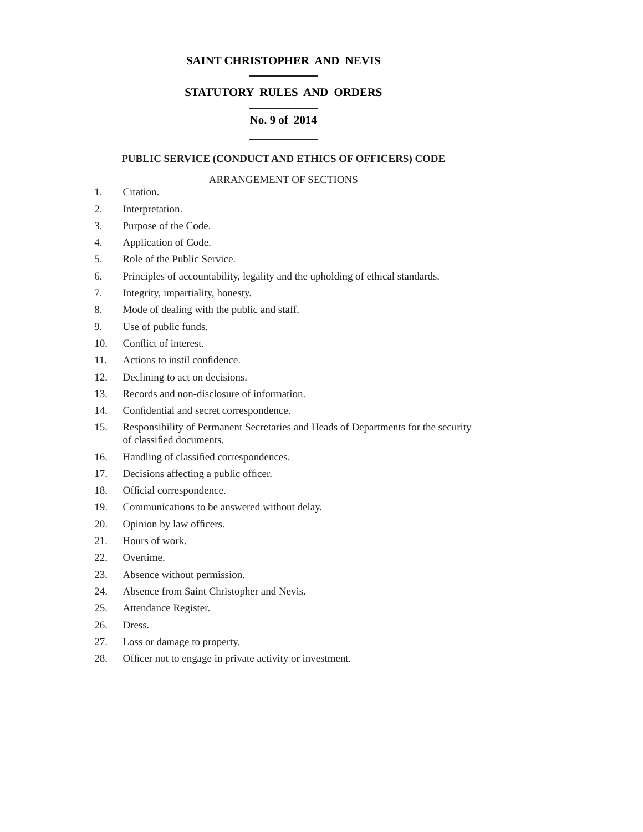# **SAINT CHRISTOPHER AND NEVIS**

# **STATUTORY RULES AND ORDERS**

# **No. 9 of 2014**

# **PUBLIC SERVICE (CONDUCT AND ETHICS OF OFFICERS) CODE**

# ARRANGEMENT OF SECTIONS

- 1. Citation.
- 2. Interpretation.
- 3. Purpose of the Code.
- 4. Application of Code.
- 5. Role of the Public Service.
- 6. Principles of accountability, legality and the upholding of ethical standards.
- 7. Integrity, impartiality, honesty.
- 8. Mode of dealing with the public and staff.
- 9. Use of public funds.
- 10. Conflict of interest.
- 11. Actions to instil confidence.
- 12. Declining to act on decisions.
- 13. Records and non-disclosure of information.
- 14. Confidential and secret correspondence.
- 15. Responsibility of Permanent Secretaries and Heads of Departments for the security of classified documents.
- 16. Handling of classified correspondences.
- 17. Decisions affecting a public officer.
- 18. Official correspondence.
- 19. Communications to be answered without delay.
- 20. Opinion by law officers.
- 21. Hours of work.
- 22. Overtime.
- 23. Absence without permission.
- 24. Absence from Saint Christopher and Nevis.
- 25. Attendance Register.
- 26. Dress.
- 27. Loss or damage to property.
- 28. Officer not to engage in private activity or investment.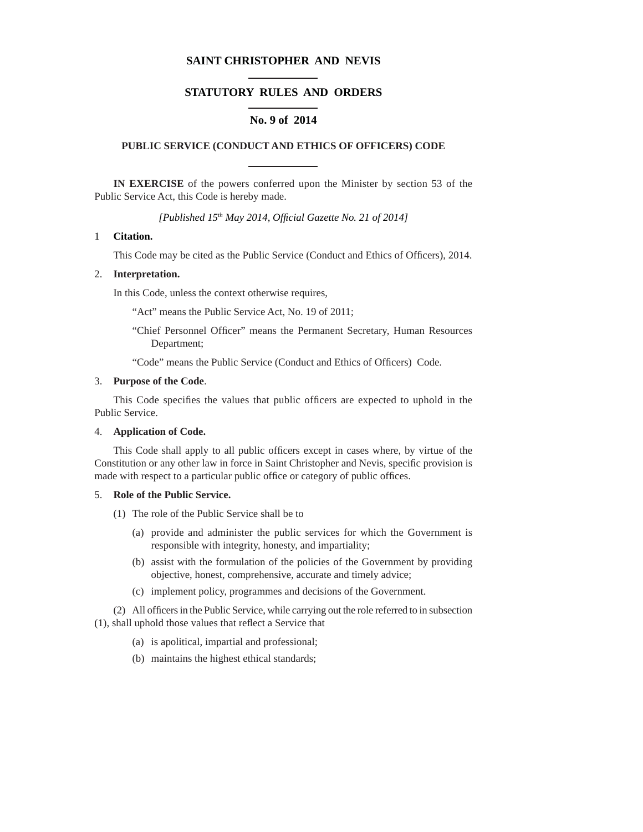# **SAINT CHRISTOPHER AND NEVIS**

# **STATUTORY RULES AND ORDERS**

# **No. 9 of 2014**

## **PUBLIC SERVICE (CONDUCT AND ETHICS OF OFFICERS) CODE**

**IN EXERCISE** of the powers conferred upon the Minister by section 53 of the Public Service Act, this Code is hereby made.

*[Published 15th May 2014, Offi cial Gazette No. 21 of 2014]*

## 1 **Citation.**

This Code may be cited as the Public Service (Conduct and Ethics of Officers), 2014.

## 2. **Interpretation.**

In this Code, unless the context otherwise requires,

"Act" means the Public Service Act, No. 19 of 2011;

"Chief Personnel Officer" means the Permanent Secretary, Human Resources Department;

"Code" means the Public Service (Conduct and Ethics of Officers) Code.

## 3. **Purpose of the Code**.

This Code specifies the values that public officers are expected to uphold in the Public Service.

# 4. **Application of Code.**

This Code shall apply to all public officers except in cases where, by virtue of the Constitution or any other law in force in Saint Christopher and Nevis, specific provision is made with respect to a particular public office or category of public offices.

## 5. **Role of the Public Service.**

- (1) The role of the Public Service shall be to
	- (a) provide and administer the public services for which the Government is responsible with integrity, honesty, and impartiality;
	- (b) assist with the formulation of the policies of the Government by providing objective, honest, comprehensive, accurate and timely advice;
	- (c) implement policy, programmes and decisions of the Government.

(2) All officers in the Public Service, while carrying out the role referred to in subsection  $(1)$ , shall uphold those values that reflect a Service that

- (a) is apolitical, impartial and professional;
- (b) maintains the highest ethical standards;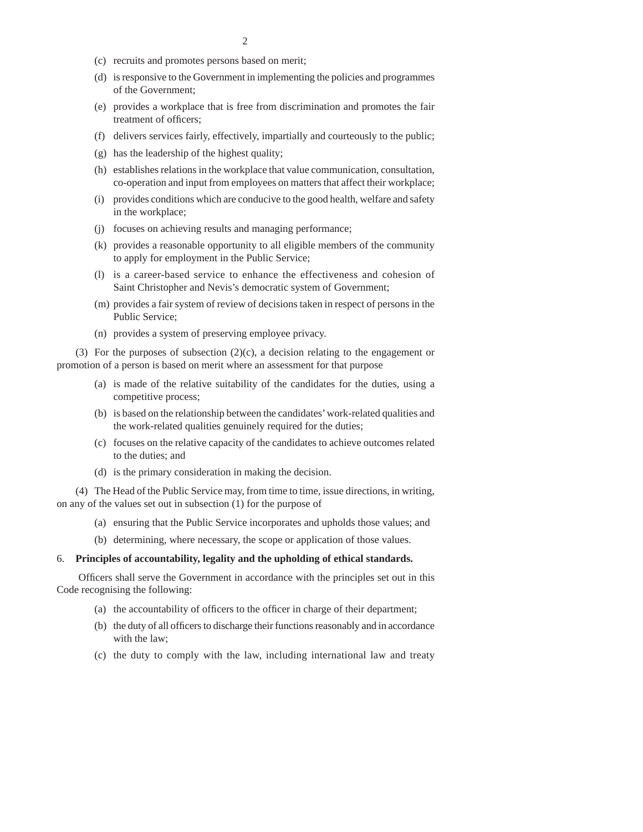- (c) recruits and promotes persons based on merit;
- (d) is responsive to the Government in implementing the policies and programmes of the Government;
- (e) provides a workplace that is free from discrimination and promotes the fair treatment of officers;
- (f) delivers services fairly, effectively, impartially and courteously to the public;
- (g) has the leadership of the highest quality;
- (h) establishes relations in the workplace that value communication, consultation, co-operation and input from employees on matters that affect their workplace;
- (i) provides conditions which are conducive to the good health, welfare and safety in the workplace;
- (j) focuses on achieving results and managing performance;
- (k) provides a reasonable opportunity to all eligible members of the community to apply for employment in the Public Service;
- (l) is a career-based service to enhance the effectiveness and cohesion of Saint Christopher and Nevis's democratic system of Government;
- (m) provides a fair system of review of decisions taken in respect of persons in the Public Service;
- (n) provides a system of preserving employee privacy.

(3) For the purposes of subsection (2)(c), a decision relating to the engagement or promotion of a person is based on merit where an assessment for that purpose

- (a) is made of the relative suitability of the candidates for the duties, using a competitive process;
- (b) is based on the relationship between the candidates' work-related qualities and the work-related qualities genuinely required for the duties;
- (c) focuses on the relative capacity of the candidates to achieve outcomes related to the duties; and
- (d) is the primary consideration in making the decision.

(4) The Head of the Public Service may, from time to time, issue directions, in writing, on any of the values set out in subsection (1) for the purpose of

- (a) ensuring that the Public Service incorporates and upholds those values; and
- (b) determining, where necessary, the scope or application of those values.

## 6. **Principles of accountability, legality and the upholding of ethical standards.**

Officers shall serve the Government in accordance with the principles set out in this Code recognising the following:

- (a) the accountability of officers to the officer in charge of their department;
- (b) the duty of all officers to discharge their functions reasonably and in accordance with the law;
- (c) the duty to comply with the law, including international law and treaty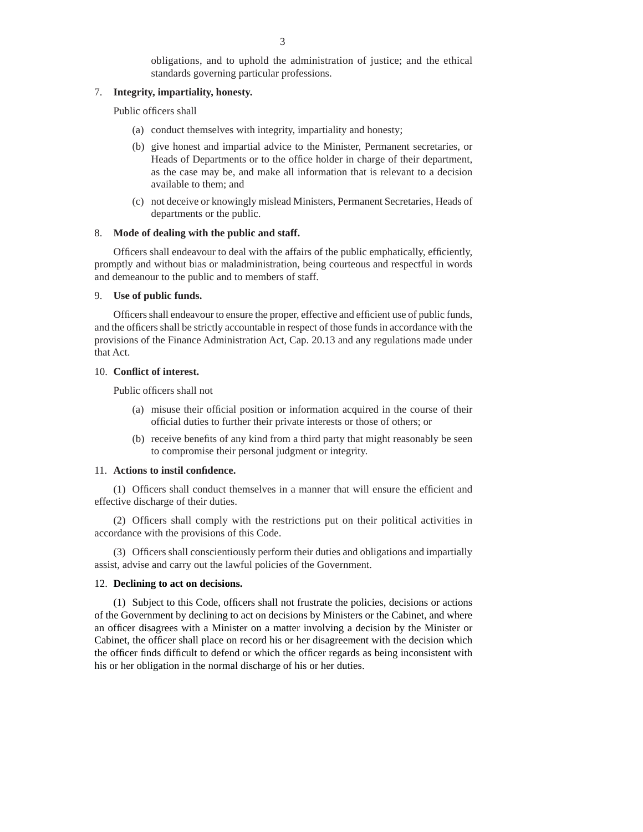3

obligations, and to uphold the administration of justice; and the ethical standards governing particular professions.

# 7. **Integrity, impartiality, honesty.**

Public officers shall

- (a) conduct themselves with integrity, impartiality and honesty;
- (b) give honest and impartial advice to the Minister, Permanent secretaries, or Heads of Departments or to the office holder in charge of their department, as the case may be, and make all information that is relevant to a decision available to them; and
- (c) not deceive or knowingly mislead Ministers, Permanent Secretaries, Heads of departments or the public.

## 8. **Mode of dealing with the public and staff.**

Officers shall endeavour to deal with the affairs of the public emphatically, efficiently, promptly and without bias or maladministration, being courteous and respectful in words and demeanour to the public and to members of staff.

## 9. **Use of public funds.**

Officers shall endeavour to ensure the proper, effective and efficient use of public funds, and the officers shall be strictly accountable in respect of those funds in accordance with the provisions of the Finance Administration Act, Cap. 20.13 and any regulations made under that Act.

## 10. **Conflict of interest.**

Public officers shall not

- (a) misuse their official position or information acquired in the course of their official duties to further their private interests or those of others; or
- (b) receive benefits of any kind from a third party that might reasonably be seen to compromise their personal judgment or integrity.

## 11. Actions to instil confidence.

(1) Officers shall conduct themselves in a manner that will ensure the efficient and effective discharge of their duties.

(2) Officers shall comply with the restrictions put on their political activities in accordance with the provisions of this Code.

(3) Officers shall conscientiously perform their duties and obligations and impartially assist, advise and carry out the lawful policies of the Government.

# 12. **Declining to act on decisions.**

(1) Subject to this Code, officers shall not frustrate the policies, decisions or actions of the Government by declining to act on decisions by Ministers or the Cabinet, and where an officer disagrees with a Minister on a matter involving a decision by the Minister or Cabinet, the officer shall place on record his or her disagreement with the decision which the officer finds difficult to defend or which the officer regards as being inconsistent with his or her obligation in the normal discharge of his or her duties.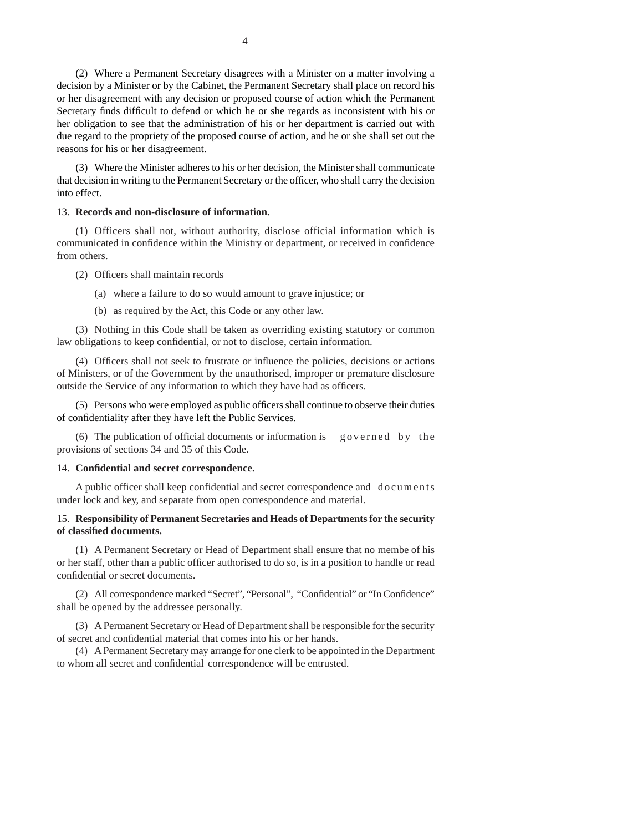(2) Where a Permanent Secretary disagrees with a Minister on a matter involving a decision by a Minister or by the Cabinet, the Permanent Secretary shall place on record his or her disagreement with any decision or proposed course of action which the Permanent Secretary finds difficult to defend or which he or she regards as inconsistent with his or her obligation to see that the administration of his or her department is carried out with due regard to the propriety of the proposed course of action, and he or she shall set out the reasons for his or her disagreement.

(3) Where the Minister adheres to his or her decision, the Minister shall communicate that decision in writing to the Permanent Secretary or the officer, who shall carry the decision into effect.

### 13. **Records and non-disclosure of information.**

(1) Officers shall not, without authority, disclose official information which is communicated in confidence within the Ministry or department, or received in confidence from others.

- (2) Officers shall maintain records
	- (a) where a failure to do so would amount to grave injustice; or
	- (b) as required by the Act, this Code or any other law.

(3) Nothing in this Code shall be taken as overriding existing statutory or common law obligations to keep confidential, or not to disclose, certain information.

(4) Officers shall not seek to frustrate or influence the policies, decisions or actions of Ministers, or of the Government by the unauthorised, improper or premature disclosure outside the Service of any information to which they have had as officers.

(5) Persons who were employed as public officers shall continue to observe their duties of confidentiality after they have left the Public Services.

(6) The publication of official documents or information is governed by the provisions of sections 34 and 35 of this Code.

## 14. Confidential and secret correspondence.

A public officer shall keep confidential and secret correspondence and documents under lock and key, and separate from open correspondence and material.

# 15. **Responsibility of Permanent Secretaries and Heads of Departments for the security of classifi ed documents.**

(1) A Permanent Secretary or Head of Department shall ensure that no membe of his or her staff, other than a public officer authorised to do so, is in a position to handle or read confidential or secret documents.

(2) All correspondence marked "Secret", "Personal", "Confidential" or "In Confidence" shall be opened by the addressee personally.

(3) A Permanent Secretary or Head of Department shall be responsible for the security of secret and confidential material that comes into his or her hands.

(4) A Permanent Secretary may arrange for one clerk to be appointed in the Department to whom all secret and confidential correspondence will be entrusted.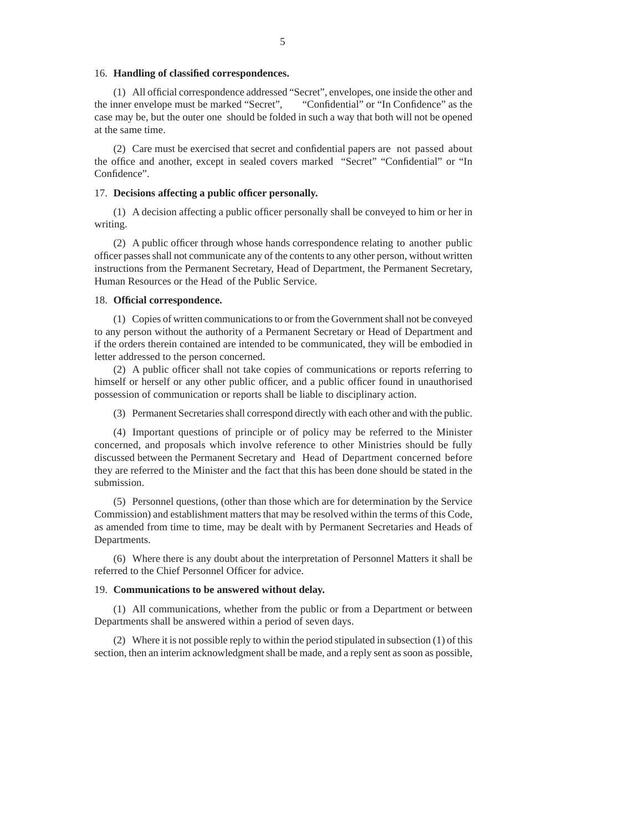### 16. **Handling of classified correspondences.**

(1) All official correspondence addressed "Secret", envelopes, one inside the other and the inner envelope must be marked "Secret", "Confidential" or "In Confidence" as the case may be, but the outer one should be folded in such a way that both will not be opened at the same time.

(2) Care must be exercised that secret and confidential papers are not passed about the office and another, except in sealed covers marked "Secret" "Confidential" or "In Confidence".

### 17. Decisions affecting a public officer personally.

(1) A decision affecting a public officer personally shall be conveyed to him or her in writing.

(2) A public officer through whose hands correspondence relating to another public officer passes shall not communicate any of the contents to any other person, without written instructions from the Permanent Secretary, Head of Department, the Permanent Secretary, Human Resources or the Head of the Public Service.

## 18. **Offi cial correspondence.**

(1) Copies of written communications to or from the Government shall not be conveyed to any person without the authority of a Permanent Secretary or Head of Department and if the orders therein contained are intended to be communicated, they will be embodied in letter addressed to the person concerned.

(2) A public officer shall not take copies of communications or reports referring to himself or herself or any other public officer, and a public officer found in unauthorised possession of communication or reports shall be liable to disciplinary action.

(3) Permanent Secretaries shall correspond directly with each other and with the public.

(4) Important questions of principle or of policy may be referred to the Minister concerned, and proposals which involve reference to other Ministries should be fully discussed between the Permanent Secretary and Head of Department concerned before they are referred to the Minister and the fact that this has been done should be stated in the submission.

(5) Personnel questions, (other than those which are for determination by the Service Commission) and establishment matters that may be resolved within the terms of this Code, as amended from time to time, may be dealt with by Permanent Secretaries and Heads of Departments.

(6) Where there is any doubt about the interpretation of Personnel Matters it shall be referred to the Chief Personnel Officer for advice.

#### 19. **Communications to be answered without delay.**

(1) All communications, whether from the public or from a Department or between Departments shall be answered within a period of seven days.

(2) Where it is not possible reply to within the period stipulated in subsection (1) of this section, then an interim acknowledgment shall be made, and a reply sent as soon as possible,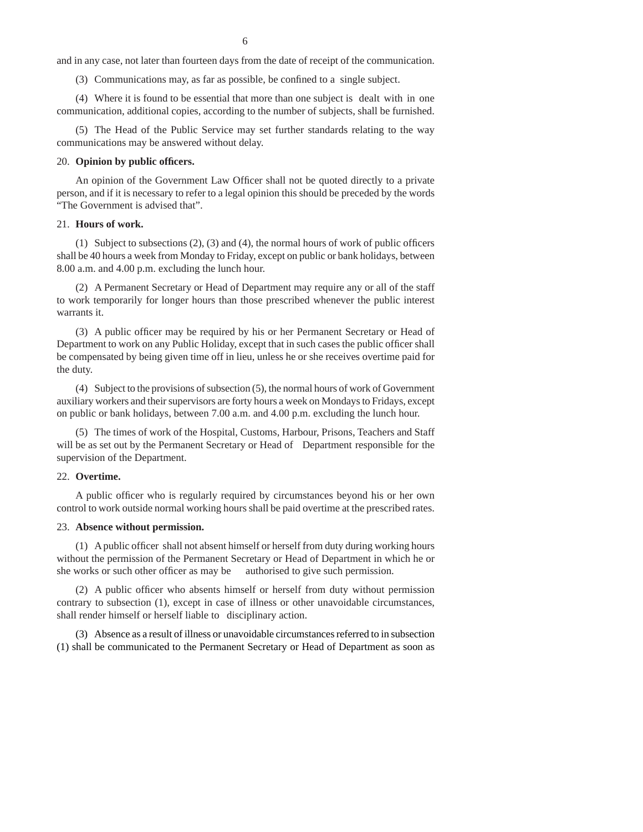and in any case, not later than fourteen days from the date of receipt of the communication.

(3) Communications may, as far as possible, be confined to a single subject.

(4) Where it is found to be essential that more than one subject is dealt with in one communication, additional copies, according to the number of subjects, shall be furnished.

(5) The Head of the Public Service may set further standards relating to the way communications may be answered without delay.

## 20. **Opinion by public officers.**

An opinion of the Government Law Officer shall not be quoted directly to a private person, and if it is necessary to refer to a legal opinion this should be preceded by the words "The Government is advised that".

### 21. **Hours of work.**

(1) Subject to subsections  $(2)$ ,  $(3)$  and  $(4)$ , the normal hours of work of public officers shall be 40 hours a week from Monday to Friday, except on public or bank holidays, between 8.00 a.m. and 4.00 p.m. excluding the lunch hour.

(2) A Permanent Secretary or Head of Department may require any or all of the staff to work temporarily for longer hours than those prescribed whenever the public interest warrants it.

(3) A public officer may be required by his or her Permanent Secretary or Head of Department to work on any Public Holiday, except that in such cases the public officer shall be compensated by being given time off in lieu, unless he or she receives overtime paid for the duty.

(4) Subject to the provisions of subsection (5), the normal hours of work of Government auxiliary workers and their supervisors are forty hours a week on Mondays to Fridays, except on public or bank holidays, between 7.00 a.m. and 4.00 p.m. excluding the lunch hour.

(5) The times of work of the Hospital, Customs, Harbour, Prisons, Teachers and Staff will be as set out by the Permanent Secretary or Head of Department responsible for the supervision of the Department.

#### 22. **Overtime.**

A public officer who is regularly required by circumstances beyond his or her own control to work outside normal working hours shall be paid overtime at the prescribed rates.

### 23. **Absence without permission.**

 $(1)$  A public officer shall not absent himself or herself from duty during working hours without the permission of the Permanent Secretary or Head of Department in which he or she works or such other officer as may be authorised to give such permission.

(2) A public officer who absents himself or herself from duty without permission contrary to subsection (1), except in case of illness or other unavoidable circumstances, shall render himself or herself liable to disciplinary action.

(3) Absence as a result of illness or unavoidable circumstances referred to in subsection (1) shall be communicated to the Permanent Secretary or Head of Department as soon as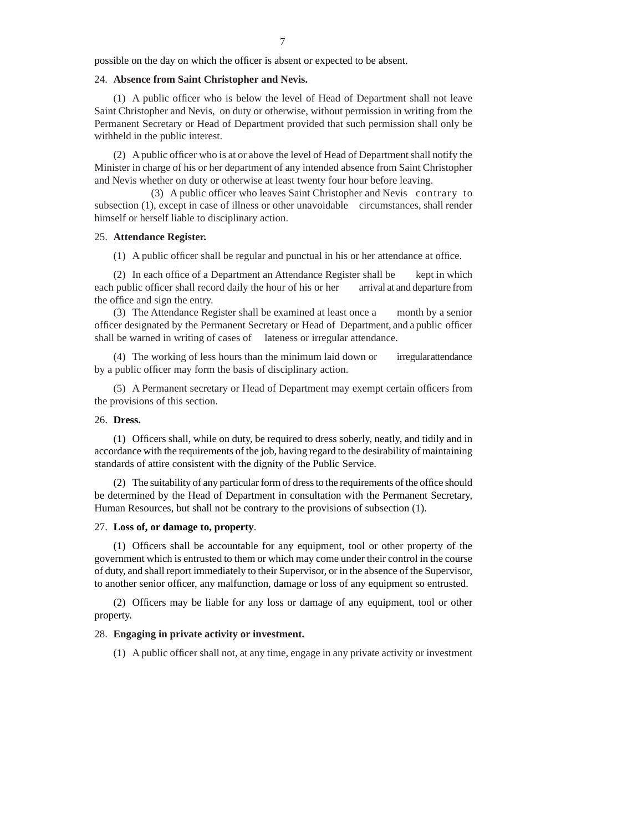possible on the day on which the officer is absent or expected to be absent.

### 24. **Absence from Saint Christopher and Nevis.**

 $(1)$  A public officer who is below the level of Head of Department shall not leave Saint Christopher and Nevis, on duty or otherwise, without permission in writing from the Permanent Secretary or Head of Department provided that such permission shall only be withheld in the public interest.

(2) A public officer who is at or above the level of Head of Department shall notify the Minister in charge of his or her department of any intended absence from Saint Christopher and Nevis whether on duty or otherwise at least twenty four hour before leaving.

 (3) A public officer who leaves Saint Christopher and Nevis contrary to subsection (1), except in case of illness or other unavoidable circumstances, shall render himself or herself liable to disciplinary action.

## 25. **Attendance Register.**

 $(1)$  A public officer shall be regular and punctual in his or her attendance at office.

(2) In each office of a Department an Attendance Register shall be kept in which each public officer shall record daily the hour of his or her arrival at and departure from the office and sign the entry.

(3) The Attendance Register shall be examined at least once a month by a senior officer designated by the Permanent Secretary or Head of Department, and a public officer shall be warned in writing of cases of lateness or irregular attendance.

(4) The working of less hours than the minimum laid down or irregular attendance by a public officer may form the basis of disciplinary action.

(5) A Permanent secretary or Head of Department may exempt certain officers from the provisions of this section.

## 26. **Dress.**

(1) Officers shall, while on duty, be required to dress soberly, neatly, and tidily and in accordance with the requirements of the job, having regard to the desirability of maintaining standards of attire consistent with the dignity of the Public Service.

 $(2)$  The suitability of any particular form of dress to the requirements of the office should be determined by the Head of Department in consultation with the Permanent Secretary, Human Resources, but shall not be contrary to the provisions of subsection (1).

### 27. **Loss of, or damage to, property**.

(1) Officers shall be accountable for any equipment, tool or other property of the government which is entrusted to them or which may come under their control in the course of duty, and shall report immediately to their Supervisor, or in the absence of the Supervisor, to another senior officer, any malfunction, damage or loss of any equipment so entrusted.

(2) Officers may be liable for any loss or damage of any equipment, tool or other property.

#### 28. **Engaging in private activity or investment.**

 $(1)$  A public officer shall not, at any time, engage in any private activity or investment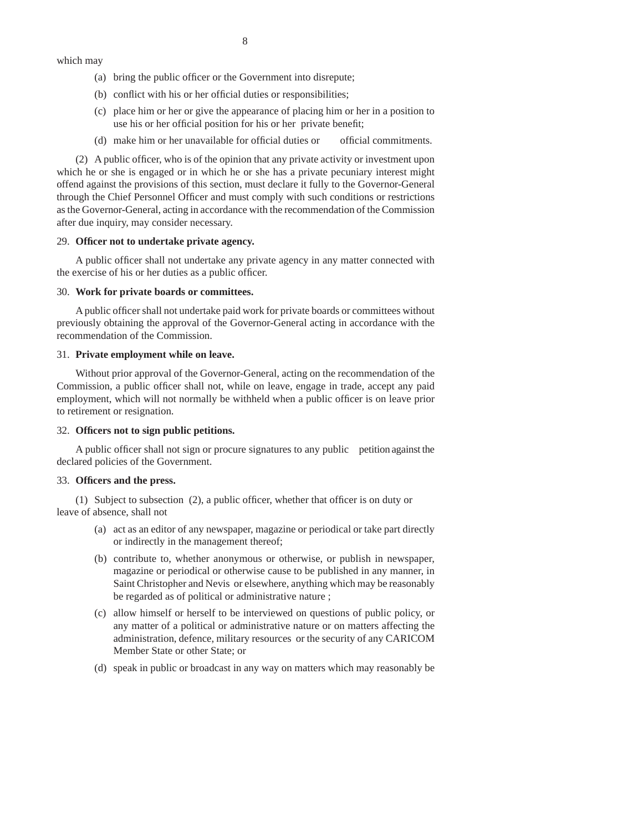which may

- (a) bring the public officer or the Government into disrepute;
- $(b)$  conflict with his or her official duties or responsibilities;
- (c) place him or her or give the appearance of placing him or her in a position to use his or her official position for his or her private benefit;
- (d) make him or her unavailable for official duties or official commitments.

 $(2)$  A public officer, who is of the opinion that any private activity or investment upon which he or she is engaged or in which he or she has a private pecuniary interest might offend against the provisions of this section, must declare it fully to the Governor-General through the Chief Personnel Officer and must comply with such conditions or restrictions as the Governor-General, acting in accordance with the recommendation of the Commission after due inquiry, may consider necessary.

## 29. **Offi cer not to undertake private agency.**

A public officer shall not undertake any private agency in any matter connected with the exercise of his or her duties as a public officer.

### 30. **Work for private boards or committees.**

A public officer shall not undertake paid work for private boards or committees without previously obtaining the approval of the Governor-General acting in accordance with the recommendation of the Commission.

## 31. **Private employment while on leave.**

 Without prior approval of the Governor-General, acting on the recommendation of the Commission, a public officer shall not, while on leave, engage in trade, accept any paid employment, which will not normally be withheld when a public officer is on leave prior to retirement or resignation.

## 32. **Offi cers not to sign public petitions.**

A public officer shall not sign or procure signatures to any public petition against the declared policies of the Government.

### 33. **Offi cers and the press.**

(1) Subject to subsection  $(2)$ , a public officer, whether that officer is on duty or leave of absence, shall not

- (a) act as an editor of any newspaper, magazine or periodical or take part directly or indirectly in the management thereof;
- (b) contribute to, whether anonymous or otherwise, or publish in newspaper, magazine or periodical or otherwise cause to be published in any manner, in Saint Christopher and Nevis or elsewhere, anything which may be reasonably be regarded as of political or administrative nature ;
- (c) allow himself or herself to be interviewed on questions of public policy, or any matter of a political or administrative nature or on matters affecting the administration, defence, military resources or the security of any CARICOM Member State or other State; or
- (d) speak in public or broadcast in any way on matters which may reasonably be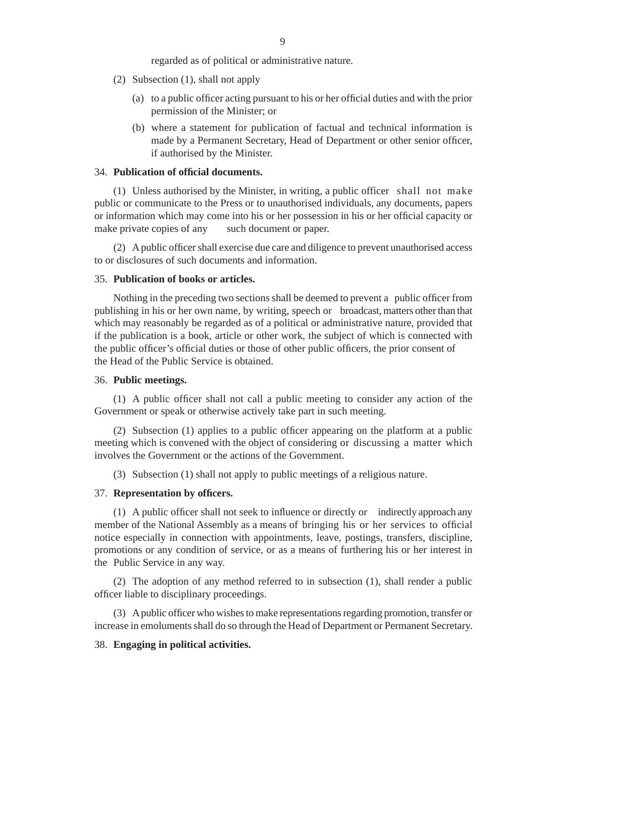regarded as of political or administrative nature.

- (2) Subsection (1), shall not apply
	- (a) to a public officer acting pursuant to his or her official duties and with the prior permission of the Minister; or
	- (b) where a statement for publication of factual and technical information is made by a Permanent Secretary, Head of Department or other senior officer, if authorised by the Minister.

## 34. **Publication of offi cial documents.**

(1) Unless authorised by the Minister, in writing, a public officer shall not make public or communicate to the Press or to unauthorised individuals, any documents, papers or information which may come into his or her possession in his or her official capacity or make private copies of any such document or paper.

(2) A public officer shall exercise due care and diligence to prevent unauthorised access to or disclosures of such documents and information.

### 35. **Publication of books or articles.**

Nothing in the preceding two sections shall be deemed to prevent a public officer from publishing in his or her own name, by writing, speech or broadcast, matters other than that which may reasonably be regarded as of a political or administrative nature, provided that if the publication is a book, article or other work, the subject of which is connected with the public officer's official duties or those of other public officers, the prior consent of the Head of the Public Service is obtained.

## 36. **Public meetings.**

 $(1)$  A public officer shall not call a public meeting to consider any action of the Government or speak or otherwise actively take part in such meeting.

 $(2)$  Subsection  $(1)$  applies to a public officer appearing on the platform at a public meeting which is convened with the object of considering or discussing a matter which involves the Government or the actions of the Government.

(3) Subsection (1) shall not apply to public meetings of a religious nature.

## 37. **Representation by offi cers.**

 $(1)$  A public officer shall not seek to influence or directly or indirectly approach any member of the National Assembly as a means of bringing his or her services to official notice especially in connection with appointments, leave, postings, transfers, discipline, promotions or any condition of service, or as a means of furthering his or her interest in the Public Service in any way.

(2) The adoption of any method referred to in subsection (1), shall render a public officer liable to disciplinary proceedings.

(3) A public officer who wishes to make representations regarding promotion, transfer or increase in emoluments shall do so through the Head of Department or Permanent Secretary.

## 38. **Engaging in political activities.**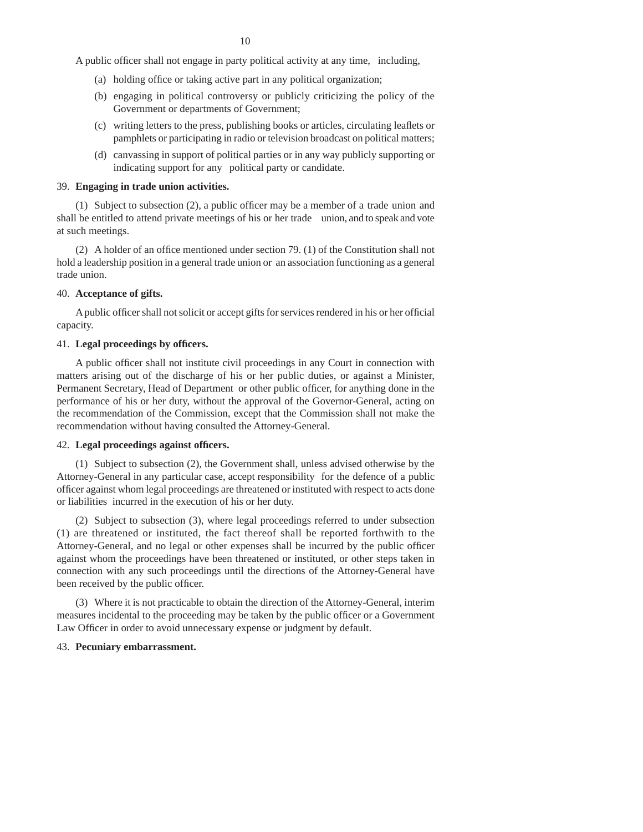A public officer shall not engage in party political activity at any time, including,

- (a) holding office or taking active part in any political organization;
- (b) engaging in political controversy or publicly criticizing the policy of the Government or departments of Government;
- (c) writing letters to the press, publishing books or articles, circulating leaflets or pamphlets or participating in radio or television broadcast on political matters;
- (d) canvassing in support of political parties or in any way publicly supporting or indicating support for any political party or candidate.

### 39. **Engaging in trade union activities.**

(1) Subject to subsection (2), a public officer may be a member of a trade union and shall be entitled to attend private meetings of his or her trade union, and to speak and vote at such meetings.

(2) A holder of an office mentioned under section 79. (1) of the Constitution shall not hold a leadership position in a general trade union or an association functioning as a general trade union.

## 40. **Acceptance of gifts.**

A public officer shall not solicit or accept gifts for services rendered in his or her official capacity.

### 41. Legal proceedings by officers.

A public officer shall not institute civil proceedings in any Court in connection with matters arising out of the discharge of his or her public duties, or against a Minister, Permanent Secretary, Head of Department or other public officer, for anything done in the performance of his or her duty, without the approval of the Governor-General, acting on the recommendation of the Commission, except that the Commission shall not make the recommendation without having consulted the Attorney-General.

### 42. **Legal proceedings against offi cers.**

(1) Subject to subsection (2), the Government shall, unless advised otherwise by the Attorney-General in any particular case, accept responsibility for the defence of a public officer against whom legal proceedings are threatened or instituted with respect to acts done or liabilities incurred in the execution of his or her duty.

(2) Subject to subsection (3), where legal proceedings referred to under subsection (1) are threatened or instituted, the fact thereof shall be reported forthwith to the Attorney-General, and no legal or other expenses shall be incurred by the public officer against whom the proceedings have been threatened or instituted, or other steps taken in connection with any such proceedings until the directions of the Attorney-General have been received by the public officer.

(3) Where it is not practicable to obtain the direction of the Attorney-General, interim measures incidental to the proceeding may be taken by the public officer or a Government Law Officer in order to avoid unnecessary expense or judgment by default.

## 43. **Pecuniary embarrassment.**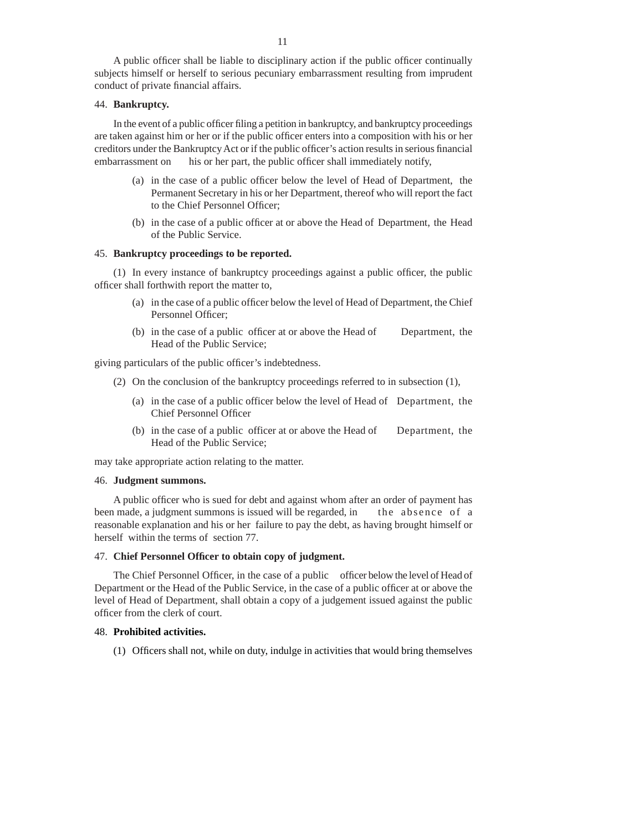A public officer shall be liable to disciplinary action if the public officer continually subjects himself or herself to serious pecuniary embarrassment resulting from imprudent conduct of private financial affairs.

## 44. **Bankruptcy.**

In the event of a public officer filing a petition in bankruptcy, and bankruptcy proceedings are taken against him or her or if the public officer enters into a composition with his or her creditors under the Bankruptcy Act or if the public officer's action results in serious financial embarrassment on his or her part, the public officer shall immediately notify,

- (a) in the case of a public officer below the level of Head of Department, the Permanent Secretary in his or her Department, thereof who will report the fact to the Chief Personnel Officer:
- (b) in the case of a public officer at or above the Head of Department, the Head of the Public Service.

## 45. **Bankruptcy proceedings to be reported.**

 $(1)$  In every instance of bankruptcy proceedings against a public officer, the public officer shall forthwith report the matter to,

- (a) in the case of a public officer below the level of Head of Department, the Chief Personnel Officer:
- (b) in the case of a public officer at or above the Head of  $\blacksquare$  Department, the Head of the Public Service;

giving particulars of the public officer's indebtedness.

- (2) On the conclusion of the bankruptcy proceedings referred to in subsection (1),
	- (a) in the case of a public officer below the level of Head of Department, the Chief Personnel Officer
	- (b) in the case of a public officer at or above the Head of Department, the Head of the Public Service;

may take appropriate action relating to the matter.

### 46. **Judgment summons.**

A public officer who is sued for debt and against whom after an order of payment has been made, a judgment summons is issued will be regarded, in the absence of a reasonable explanation and his or her failure to pay the debt, as having brought himself or herself within the terms of section 77.

## 47. **Chief Personnel Offi cer to obtain copy of judgment.**

The Chief Personnel Officer, in the case of a public officer below the level of Head of Department or the Head of the Public Service, in the case of a public officer at or above the level of Head of Department, shall obtain a copy of a judgement issued against the public officer from the clerk of court.

#### 48. **Prohibited activities.**

(1) Officers shall not, while on duty, indulge in activities that would bring themselves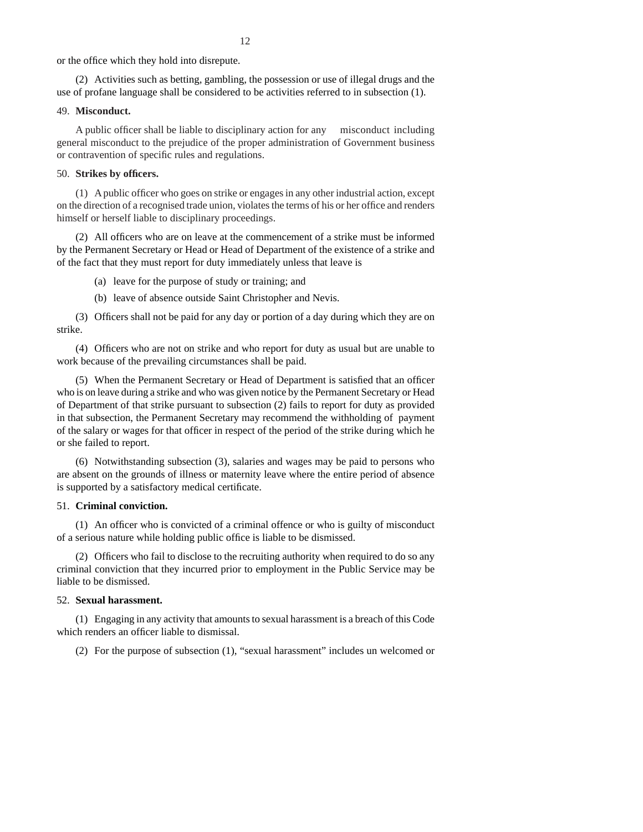or the office which they hold into disrepute.

(2) Activities such as betting, gambling, the possession or use of illegal drugs and the use of profane language shall be considered to be activities referred to in subsection (1).

### 49. **Misconduct.**

A public officer shall be liable to disciplinary action for any misconduct including general misconduct to the prejudice of the proper administration of Government business or contravention of specific rules and regulations.

#### 50. **Strikes by offi cers.**

 $(1)$  A public officer who goes on strike or engages in any other industrial action, except on the direction of a recognised trade union, violates the terms of his or her office and renders himself or herself liable to disciplinary proceedings.

(2) All officers who are on leave at the commencement of a strike must be informed by the Permanent Secretary or Head or Head of Department of the existence of a strike and of the fact that they must report for duty immediately unless that leave is

(a) leave for the purpose of study or training; and

(b) leave of absence outside Saint Christopher and Nevis.

(3) Officers shall not be paid for any day or portion of a day during which they are on strike.

(4) Officers who are not on strike and who report for duty as usual but are unable to work because of the prevailing circumstances shall be paid.

(5) When the Permanent Secretary or Head of Department is satisfied that an officer who is on leave during a strike and who was given notice by the Permanent Secretary or Head of Department of that strike pursuant to subsection (2) fails to report for duty as provided in that subsection, the Permanent Secretary may recommend the withholding of payment of the salary or wages for that officer in respect of the period of the strike during which he or she failed to report.

(6) Notwithstanding subsection (3), salaries and wages may be paid to persons who are absent on the grounds of illness or maternity leave where the entire period of absence is supported by a satisfactory medical certificate.

#### 51. **Criminal conviction.**

(1) An officer who is convicted of a criminal offence or who is guilty of misconduct of a serious nature while holding public office is liable to be dismissed.

 $(2)$  Officers who fail to disclose to the recruiting authority when required to do so any criminal conviction that they incurred prior to employment in the Public Service may be liable to be dismissed.

#### 52. **Sexual harassment.**

(1) Engaging in any activity that amounts to sexual harassment is a breach of this Code which renders an officer liable to dismissal.

(2) For the purpose of subsection (1), "sexual harassment" includes un welcomed or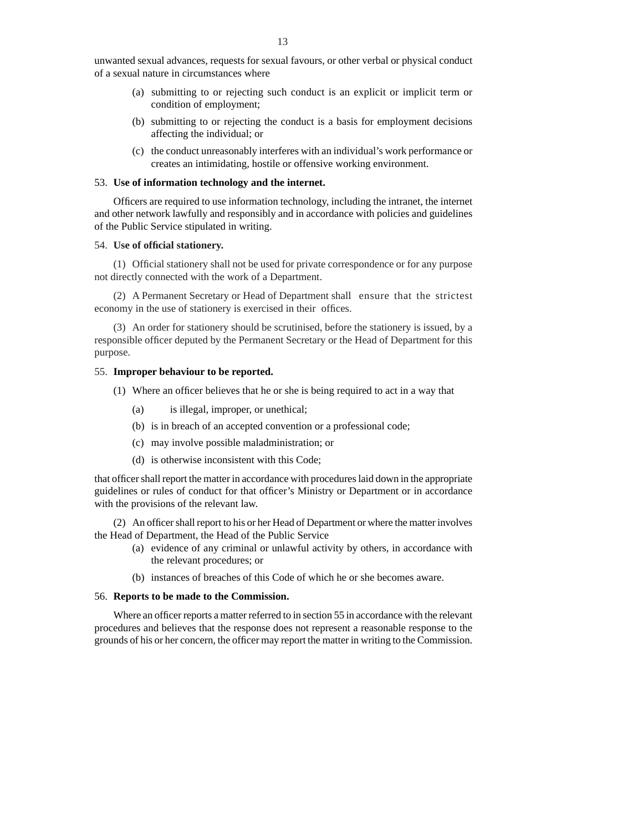unwanted sexual advances, requests for sexual favours, or other verbal or physical conduct of a sexual nature in circumstances where

- (a) submitting to or rejecting such conduct is an explicit or implicit term or condition of employment;
- (b) submitting to or rejecting the conduct is a basis for employment decisions affecting the individual; or
- (c) the conduct unreasonably interferes with an individual's work performance or creates an intimidating, hostile or offensive working environment.

### 53. **Use of information technology and the internet.**

Officers are required to use information technology, including the intranet, the internet and other network lawfully and responsibly and in accordance with policies and guidelines of the Public Service stipulated in writing.

# 54. **Use of offi cial stationery.**

(1) Official stationery shall not be used for private correspondence or for any purpose not directly connected with the work of a Department.

(2) A Permanent Secretary or Head of Department shall ensure that the strictest economy in the use of stationery is exercised in their offices.

(3) An order for stationery should be scrutinised, before the stationery is issued, by a responsible officer deputed by the Permanent Secretary or the Head of Department for this purpose.

## 55. **Improper behaviour to be reported.**

- $(1)$  Where an officer believes that he or she is being required to act in a way that
	- (a) is illegal, improper, or unethical;
	- (b) is in breach of an accepted convention or a professional code;
	- (c) may involve possible maladministration; or
	- (d) is otherwise inconsistent with this Code;

that officer shall report the matter in accordance with procedures laid down in the appropriate guidelines or rules of conduct for that officer's Ministry or Department or in accordance with the provisions of the relevant law.

(2) An officer shall report to his or her Head of Department or where the matter involves the Head of Department, the Head of the Public Service

- (a) evidence of any criminal or unlawful activity by others, in accordance with the relevant procedures; or
- (b) instances of breaches of this Code of which he or she becomes aware.

## 56. **Reports to be made to the Commission.**

Where an officer reports a matter referred to in section 55 in accordance with the relevant procedures and believes that the response does not represent a reasonable response to the grounds of his or her concern, the officer may report the matter in writing to the Commission.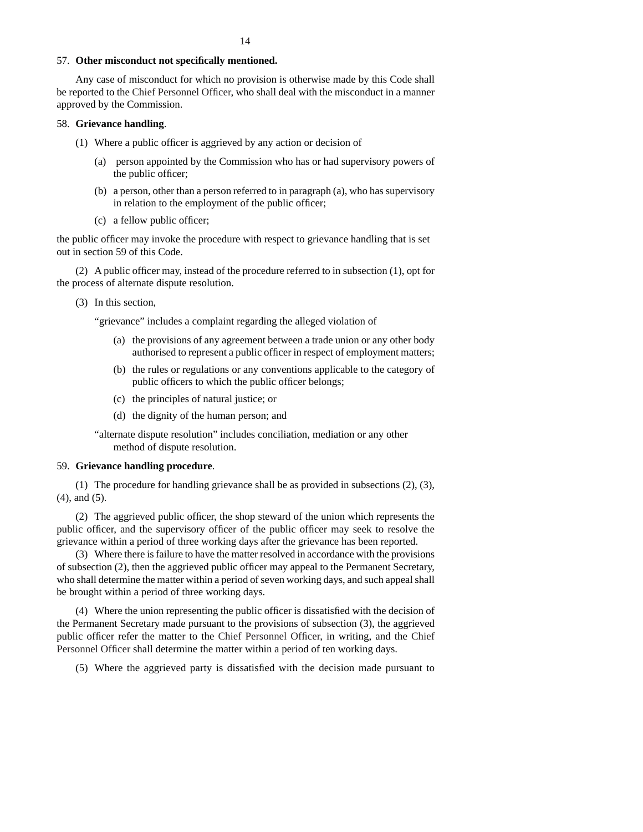## 57. **Other misconduct not specifi cally mentioned.**

Any case of misconduct for which no provision is otherwise made by this Code shall be reported to the Chief Personnel Officer, who shall deal with the misconduct in a manner approved by the Commission.

## 58. **Grievance handling**.

- $(1)$  Where a public officer is aggrieved by any action or decision of
	- (a) person appointed by the Commission who has or had supervisory powers of the public officer;
	- (b) a person, other than a person referred to in paragraph (a), who has supervisory in relation to the employment of the public officer;
	- $(c)$  a fellow public officer;

the public officer may invoke the procedure with respect to grievance handling that is set out in section 59 of this Code.

(2) A public officer may, instead of the procedure referred to in subsection  $(1)$ , opt for the process of alternate dispute resolution.

(3) In this section,

"grievance" includes a complaint regarding the alleged violation of

- (a) the provisions of any agreement between a trade union or any other body authorised to represent a public officer in respect of employment matters;
- (b) the rules or regulations or any conventions applicable to the category of public officers to which the public officer belongs;
- (c) the principles of natural justice; or
- (d) the dignity of the human person; and

"alternate dispute resolution" includes conciliation, mediation or any other method of dispute resolution.

# 59. **Grievance handling procedure**.

(1) The procedure for handling grievance shall be as provided in subsections (2), (3), (4), and (5).

 $(2)$  The aggrieved public officer, the shop steward of the union which represents the public officer, and the supervisory officer of the public officer may seek to resolve the grievance within a period of three working days after the grievance has been reported.

(3) Where there is failure to have the matter resolved in accordance with the provisions of subsection (2), then the aggrieved public officer may appeal to the Permanent Secretary, who shall determine the matter within a period of seven working days, and such appeal shall be brought within a period of three working days.

 $(4)$  Where the union representing the public officer is dissatisfied with the decision of the Permanent Secretary made pursuant to the provisions of subsection (3), the aggrieved public officer refer the matter to the Chief Personnel Officer, in writing, and the Chief Personnel Officer shall determine the matter within a period of ten working days.

(5) Where the aggrieved party is dissatisfied with the decision made pursuant to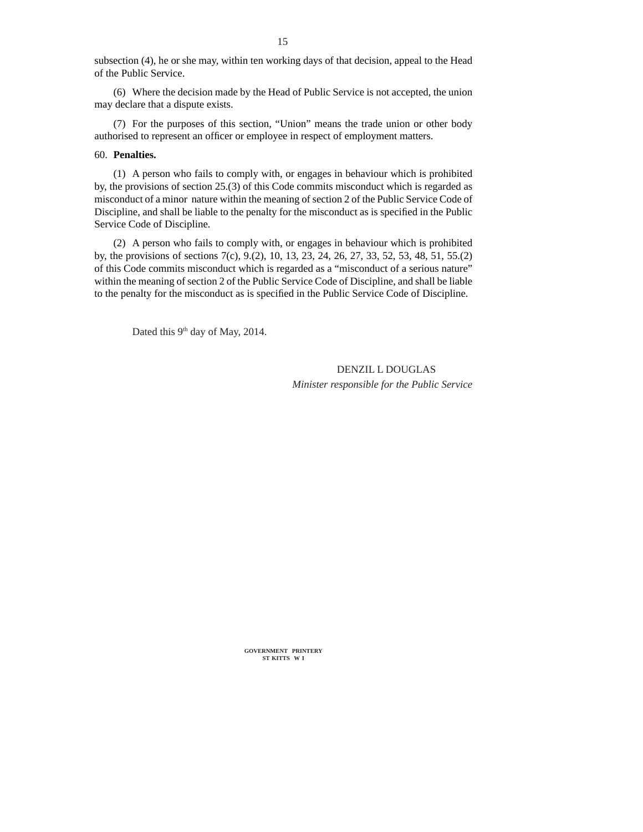subsection (4), he or she may, within ten working days of that decision, appeal to the Head of the Public Service.

(6) Where the decision made by the Head of Public Service is not accepted, the union may declare that a dispute exists.

(7) For the purposes of this section, "Union" means the trade union or other body authorised to represent an officer or employee in respect of employment matters.

## 60. **Penalties.**

(1) A person who fails to comply with, or engages in behaviour which is prohibited by, the provisions of section 25.(3) of this Code commits misconduct which is regarded as misconduct of a minor nature within the meaning of section 2 of the Public Service Code of Discipline, and shall be liable to the penalty for the misconduct as is specified in the Public Service Code of Discipline*.*

(2) A person who fails to comply with, or engages in behaviour which is prohibited by, the provisions of sections 7(c), 9.(2), 10, 13, 23, 24, 26, 27, 33, 52, 53, 48, 51, 55.(2) of this Code commits misconduct which is regarded as a "misconduct of a serious nature" within the meaning of section 2 of the Public Service Code of Discipline, and shall be liable to the penalty for the misconduct as is specified in the Public Service Code of Discipline.

Dated this 9<sup>th</sup> day of May, 2014.

 DENZIL L DOUGLAS  *Minister responsible for the Public Service*

**GOVERNMENT PRINTERY ST KITTS W I**